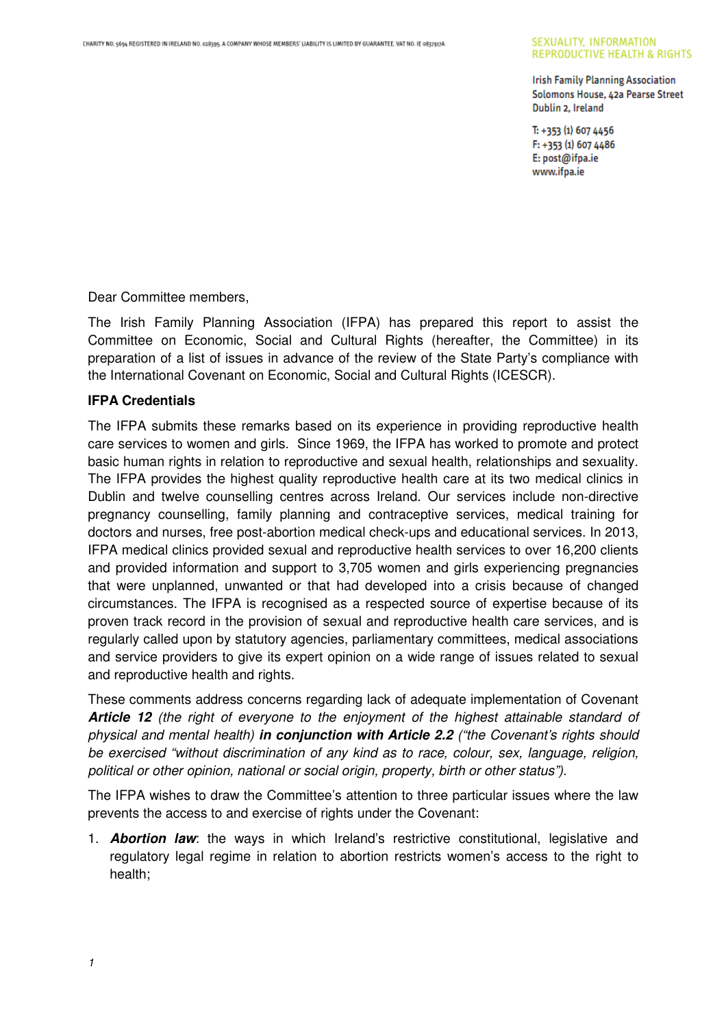#### SEXUALITY, INFORMATION **REPRODUCTIVE HEALTH & RIGHTS**

**Irish Family Planning Association** Solomons House, 42a Pearse Street Dublin 2, Ireland

 $T: +353(1)6074456$ F: +353 (1) 607 4486 E: post@ifpa.ie www.ifpa.ie

Dear Committee members,

The Irish Family Planning Association (IFPA) has prepared this report to assist the Committee on Economic, Social and Cultural Rights (hereafter, the Committee) in its preparation of a list of issues in advance of the review of the State Party's compliance with the International Covenant on Economic, Social and Cultural Rights (ICESCR).

#### **IFPA Credentials**

The IFPA submits these remarks based on its experience in providing reproductive health care services to women and girls. Since 1969, the IFPA has worked to promote and protect basic human rights in relation to reproductive and sexual health, relationships and sexuality. The IFPA provides the highest quality reproductive health care at its two medical clinics in Dublin and twelve counselling centres across Ireland. Our services include non-directive pregnancy counselling, family planning and contraceptive services, medical training for doctors and nurses, free post-abortion medical check-ups and educational services. In 2013, IFPA medical clinics provided sexual and reproductive health services to over 16,200 clients and provided information and support to 3,705 women and girls experiencing pregnancies that were unplanned, unwanted or that had developed into a crisis because of changed circumstances. The IFPA is recognised as a respected source of expertise because of its proven track record in the provision of sexual and reproductive health care services, and is regularly called upon by statutory agencies, parliamentary committees, medical associations and service providers to give its expert opinion on a wide range of issues related to sexual and reproductive health and rights.

These comments address concerns regarding lack of adequate implementation of Covenant **Article 12** (the right of everyone to the enjoyment of the highest attainable standard of physical and mental health) **in conjunction with Article 2.2** ("the Covenant's rights should be exercised "without discrimination of any kind as to race, colour, sex, language, religion, political or other opinion, national or social origin, property, birth or other status").

The IFPA wishes to draw the Committee's attention to three particular issues where the law prevents the access to and exercise of rights under the Covenant:

1. **Abortion law**: the ways in which Ireland's restrictive constitutional, legislative and regulatory legal regime in relation to abortion restricts women's access to the right to health;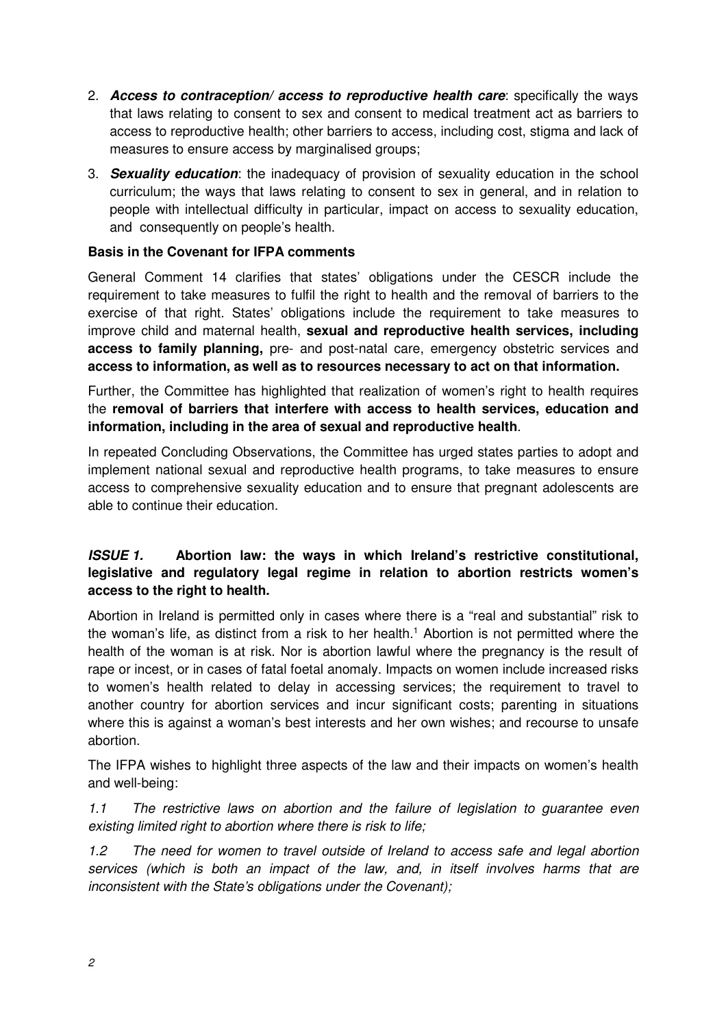- 2. **Access to contraception/ access to reproductive health care**: specifically the ways that laws relating to consent to sex and consent to medical treatment act as barriers to access to reproductive health; other barriers to access, including cost, stigma and lack of measures to ensure access by marginalised groups;
- 3. **Sexuality education**: the inadequacy of provision of sexuality education in the school curriculum; the ways that laws relating to consent to sex in general, and in relation to people with intellectual difficulty in particular, impact on access to sexuality education, and consequently on people's health.

#### **Basis in the Covenant for IFPA comments**

General Comment 14 clarifies that states' obligations under the CESCR include the requirement to take measures to fulfil the right to health and the removal of barriers to the exercise of that right. States' obligations include the requirement to take measures to improve child and maternal health, **sexual and reproductive health services, including access to family planning,** pre- and post-natal care, emergency obstetric services and **access to information, as well as to resources necessary to act on that information.** 

Further, the Committee has highlighted that realization of women's right to health requires the **removal of barriers that interfere with access to health services, education and information, including in the area of sexual and reproductive health**.

In repeated Concluding Observations, the Committee has urged states parties to adopt and implement national sexual and reproductive health programs, to take measures to ensure access to comprehensive sexuality education and to ensure that pregnant adolescents are able to continue their education.

# **ISSUE 1. Abortion law: the ways in which Ireland's restrictive constitutional, legislative and regulatory legal regime in relation to abortion restricts women's access to the right to health.**

Abortion in Ireland is permitted only in cases where there is a "real and substantial" risk to the woman's life, as distinct from a risk to her health.<sup>1</sup> Abortion is not permitted where the health of the woman is at risk. Nor is abortion lawful where the pregnancy is the result of rape or incest, or in cases of fatal foetal anomaly. Impacts on women include increased risks to women's health related to delay in accessing services; the requirement to travel to another country for abortion services and incur significant costs; parenting in situations where this is against a woman's best interests and her own wishes; and recourse to unsafe abortion.

The IFPA wishes to highlight three aspects of the law and their impacts on women's health and well-being:

1.1 The restrictive laws on abortion and the failure of legislation to guarantee even existing limited right to abortion where there is risk to life;

1.2 The need for women to travel outside of Ireland to access safe and legal abortion services (which is both an impact of the law, and, in itself involves harms that are inconsistent with the State's obligations under the Covenant);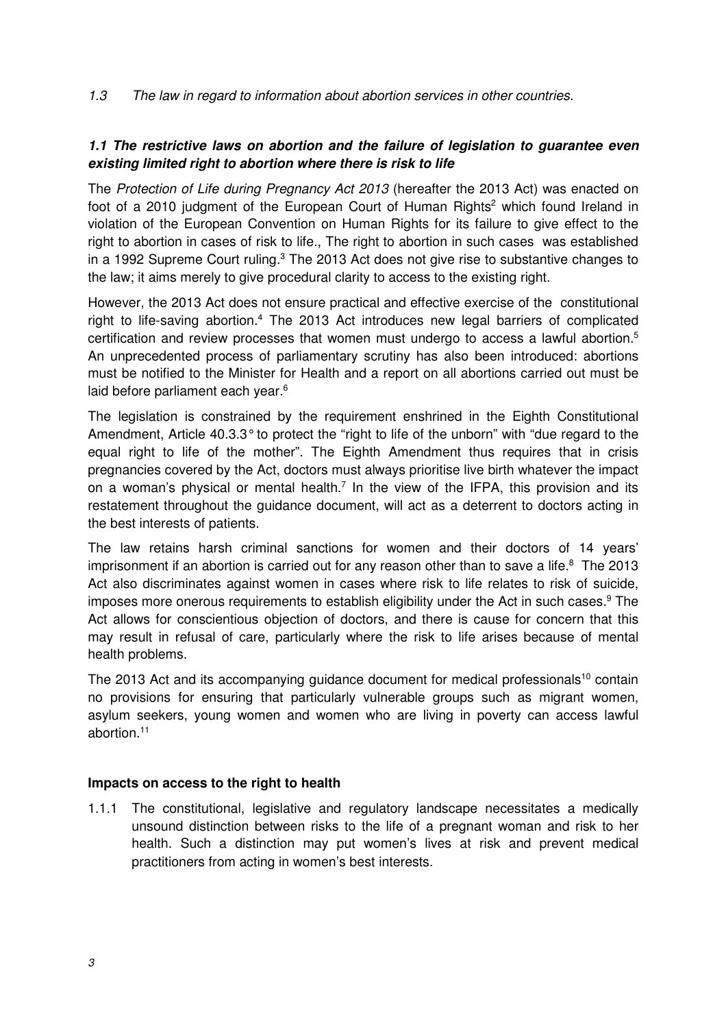1.3 The law in regard to information about abortion services in other countries.

# **1.1 The restrictive laws on abortion and the failure of legislation to guarantee even existing limited right to abortion where there is risk to life**

The Protection of Life during Pregnancy Act 2013 (hereafter the 2013 Act) was enacted on foot of a 2010 judgment of the European Court of Human Rights<sup>2</sup> which found Ireland in violation of the European Convention on Human Rights for its failure to give effect to the right to abortion in cases of risk to life., The right to abortion in such cases was established in a 1992 Supreme Court ruling. $3$  The 2013 Act does not give rise to substantive changes to the law; it aims merely to give procedural clarity to access to the existing right.

However, the 2013 Act does not ensure practical and effective exercise of the constitutional right to life-saving abortion.<sup>4</sup> The 2013 Act introduces new legal barriers of complicated certification and review processes that women must undergo to access a lawful abortion.<sup>5</sup> An unprecedented process of parliamentary scrutiny has also been introduced: abortions must be notified to the Minister for Health and a report on all abortions carried out must be laid before parliament each year.<sup>6</sup>

The legislation is constrained by the requirement enshrined in the Eighth Constitutional Amendment, Article 40.3.3° to protect the "right to life of the unborn" with "due regard to the equal right to life of the mother". The Eighth Amendment thus requires that in crisis pregnancies covered by the Act, doctors must always prioritise live birth whatever the impact on a woman's physical or mental health.<sup>7</sup> In the view of the IFPA, this provision and its restatement throughout the guidance document, will act as a deterrent to doctors acting in the best interests of patients.

The law retains harsh criminal sanctions for women and their doctors of 14 years' imprisonment if an abortion is carried out for any reason other than to save a life. $8$  The 2013 Act also discriminates against women in cases where risk to life relates to risk of suicide, imposes more onerous requirements to establish eligibility under the Act in such cases.<sup>9</sup> The Act allows for conscientious objection of doctors, and there is cause for concern that this may result in refusal of care, particularly where the risk to life arises because of mental health problems.

The 2013 Act and its accompanying guidance document for medical professionals<sup>10</sup> contain no provisions for ensuring that particularly vulnerable groups such as migrant women, asylum seekers, young women and women who are living in poverty can access lawful abortion.<sup>11</sup>

#### **Impacts on access to the right to health**

1.1.1 The constitutional, legislative and regulatory landscape necessitates a medically unsound distinction between risks to the life of a pregnant woman and risk to her health. Such a distinction may put women's lives at risk and prevent medical practitioners from acting in women's best interests.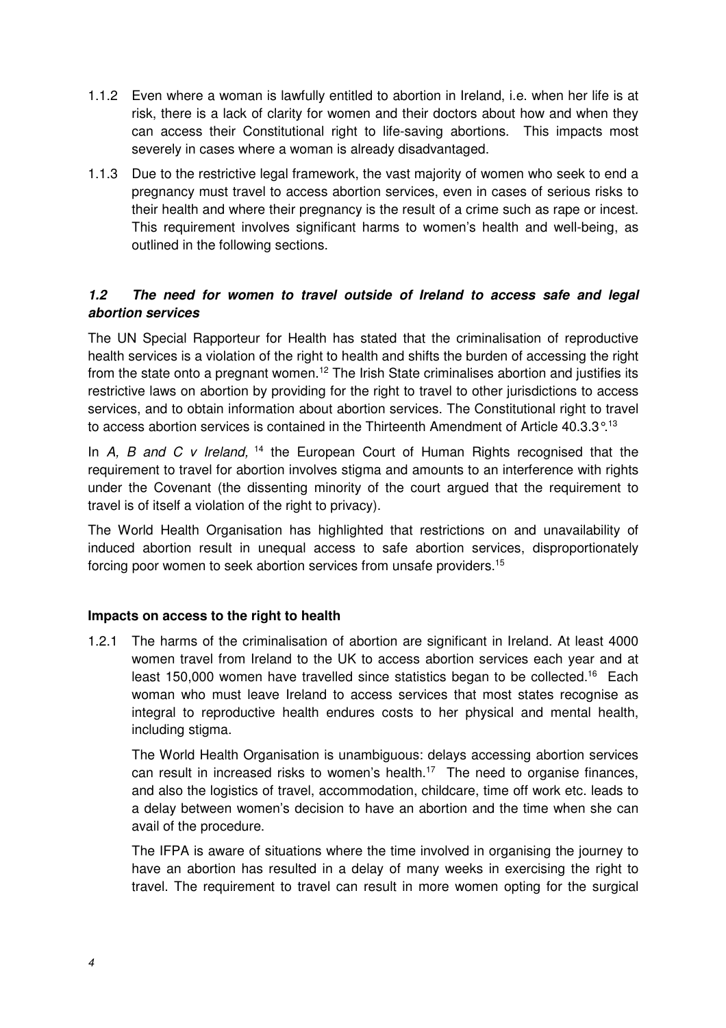- 1.1.2 Even where a woman is lawfully entitled to abortion in Ireland, i.e. when her life is at risk, there is a lack of clarity for women and their doctors about how and when they can access their Constitutional right to life-saving abortions. This impacts most severely in cases where a woman is already disadvantaged.
- 1.1.3 Due to the restrictive legal framework, the vast majority of women who seek to end a pregnancy must travel to access abortion services, even in cases of serious risks to their health and where their pregnancy is the result of a crime such as rape or incest. This requirement involves significant harms to women's health and well-being, as outlined in the following sections.

## **1.2 The need for women to travel outside of Ireland to access safe and legal abortion services**

The UN Special Rapporteur for Health has stated that the criminalisation of reproductive health services is a violation of the right to health and shifts the burden of accessing the right from the state onto a pregnant women.<sup>12</sup> The Irish State criminalises abortion and justifies its restrictive laws on abortion by providing for the right to travel to other jurisdictions to access services, and to obtain information about abortion services. The Constitutional right to travel to access abortion services is contained in the Thirteenth Amendment of Article  $40.3.3^{\circ}$ .<sup>13</sup>

In A, B and C v Ireland,  $14$  the European Court of Human Rights recognised that the requirement to travel for abortion involves stigma and amounts to an interference with rights under the Covenant (the dissenting minority of the court argued that the requirement to travel is of itself a violation of the right to privacy).

The World Health Organisation has highlighted that restrictions on and unavailability of induced abortion result in unequal access to safe abortion services, disproportionately forcing poor women to seek abortion services from unsafe providers.<sup>15</sup>

## **Impacts on access to the right to health**

1.2.1 The harms of the criminalisation of abortion are significant in Ireland. At least 4000 women travel from Ireland to the UK to access abortion services each year and at least 150,000 women have travelled since statistics began to be collected.<sup>16</sup> Each woman who must leave Ireland to access services that most states recognise as integral to reproductive health endures costs to her physical and mental health, including stigma.

The World Health Organisation is unambiguous: delays accessing abortion services can result in increased risks to women's health.<sup>17</sup> The need to organise finances, and also the logistics of travel, accommodation, childcare, time off work etc. leads to a delay between women's decision to have an abortion and the time when she can avail of the procedure.

The IFPA is aware of situations where the time involved in organising the journey to have an abortion has resulted in a delay of many weeks in exercising the right to travel. The requirement to travel can result in more women opting for the surgical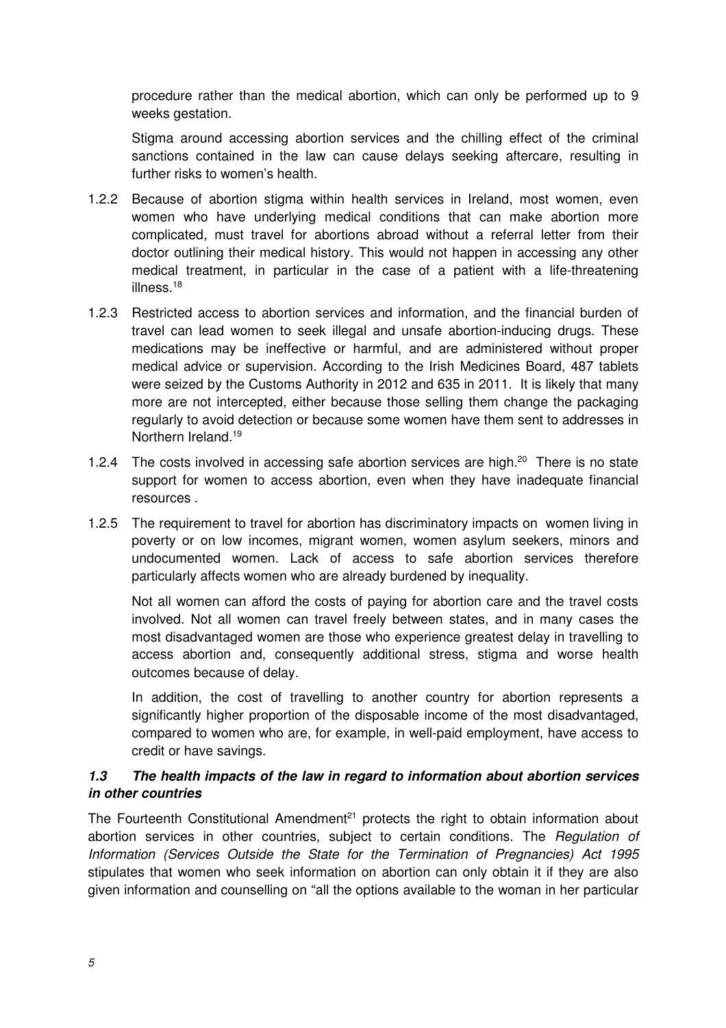procedure rather than the medical abortion, which can only be performed up to 9 weeks gestation.

Stigma around accessing abortion services and the chilling effect of the criminal sanctions contained in the law can cause delays seeking aftercare, resulting in further risks to women's health.

- 1.2.2 Because of abortion stigma within health services in Ireland, most women, even women who have underlying medical conditions that can make abortion more complicated, must travel for abortions abroad without a referral letter from their doctor outlining their medical history. This would not happen in accessing any other medical treatment, in particular in the case of a patient with a life-threatening illness.<sup>18</sup>
- 1.2.3 Restricted access to abortion services and information, and the financial burden of travel can lead women to seek illegal and unsafe abortion-inducing drugs. These medications may be ineffective or harmful, and are administered without proper medical advice or supervision. According to the Irish Medicines Board, 487 tablets were seized by the Customs Authority in 2012 and 635 in 2011. It is likely that many more are not intercepted, either because those selling them change the packaging regularly to avoid detection or because some women have them sent to addresses in Northern Ireland.<sup>19</sup>
- 1.2.4 The costs involved in accessing safe abortion services are high.<sup>20</sup> There is no state support for women to access abortion, even when they have inadequate financial resources .
- 1.2.5 The requirement to travel for abortion has discriminatory impacts on women living in poverty or on low incomes, migrant women, women asylum seekers, minors and undocumented women. Lack of access to safe abortion services therefore particularly affects women who are already burdened by inequality.

Not all women can afford the costs of paying for abortion care and the travel costs involved. Not all women can travel freely between states, and in many cases the most disadvantaged women are those who experience greatest delay in travelling to access abortion and, consequently additional stress, stigma and worse health outcomes because of delay.

In addition, the cost of travelling to another country for abortion represents a significantly higher proportion of the disposable income of the most disadvantaged, compared to women who are, for example, in well-paid employment, have access to credit or have savings.

## **1.3 The health impacts of the law in regard to information about abortion services in other countries**

The Fourteenth Constitutional Amendment<sup>21</sup> protects the right to obtain information about abortion services in other countries, subject to certain conditions. The Regulation of Information (Services Outside the State for the Termination of Pregnancies) Act 1995 stipulates that women who seek information on abortion can only obtain it if they are also given information and counselling on "all the options available to the woman in her particular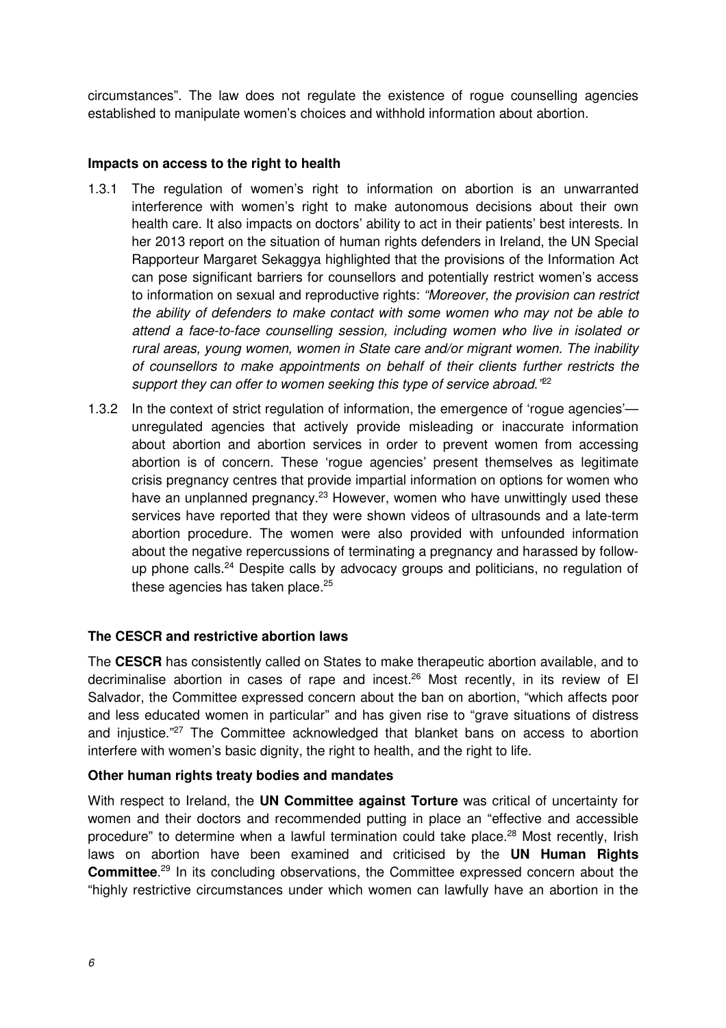circumstances". The law does not regulate the existence of rogue counselling agencies established to manipulate women's choices and withhold information about abortion.

## **Impacts on access to the right to health**

- 1.3.1 The regulation of women's right to information on abortion is an unwarranted interference with women's right to make autonomous decisions about their own health care. It also impacts on doctors' ability to act in their patients' best interests. In her 2013 report on the situation of human rights defenders in Ireland, the UN Special Rapporteur Margaret Sekaggya highlighted that the provisions of the Information Act can pose significant barriers for counsellors and potentially restrict women's access to information on sexual and reproductive rights: "Moreover, the provision can restrict the ability of defenders to make contact with some women who may not be able to attend a face-to-face counselling session, including women who live in isolated or rural areas, young women, women in State care and/or migrant women. The inability of counsellors to make appointments on behalf of their clients further restricts the support they can offer to women seeking this type of service abroad."<sup>22</sup>
- 1.3.2 In the context of strict regulation of information, the emergence of 'rogue agencies' unregulated agencies that actively provide misleading or inaccurate information about abortion and abortion services in order to prevent women from accessing abortion is of concern. These 'rogue agencies' present themselves as legitimate crisis pregnancy centres that provide impartial information on options for women who have an unplanned pregnancy.<sup>23</sup> However, women who have unwittingly used these services have reported that they were shown videos of ultrasounds and a late-term abortion procedure. The women were also provided with unfounded information about the negative repercussions of terminating a pregnancy and harassed by followup phone calls.<sup>24</sup> Despite calls by advocacy groups and politicians, no regulation of these agencies has taken place. $25$

#### **The CESCR and restrictive abortion laws**

The **CESCR** has consistently called on States to make therapeutic abortion available, and to decriminalise abortion in cases of rape and incest.<sup>26</sup> Most recently, in its review of El Salvador, the Committee expressed concern about the ban on abortion, "which affects poor and less educated women in particular" and has given rise to "grave situations of distress and injustice."<sup>27</sup> The Committee acknowledged that blanket bans on access to abortion interfere with women's basic dignity, the right to health, and the right to life.

#### **Other human rights treaty bodies and mandates**

With respect to Ireland, the **UN Committee against Torture** was critical of uncertainty for women and their doctors and recommended putting in place an "effective and accessible procedure" to determine when a lawful termination could take place.<sup>28</sup> Most recently, Irish laws on abortion have been examined and criticised by the **UN Human Rights Committee**. <sup>29</sup> In its concluding observations, the Committee expressed concern about the "highly restrictive circumstances under which women can lawfully have an abortion in the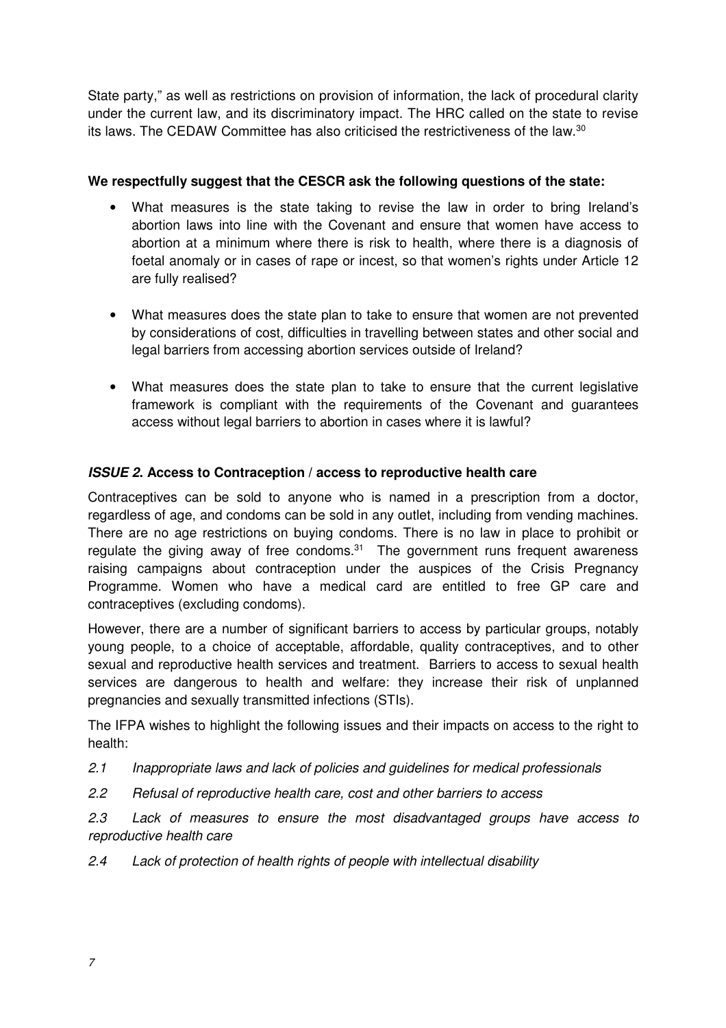State party," as well as restrictions on provision of information, the lack of procedural clarity under the current law, and its discriminatory impact. The HRC called on the state to revise its laws. The CEDAW Committee has also criticised the restrictiveness of the law.<sup>30</sup>

## **We respectfully suggest that the CESCR ask the following questions of the state:**

- What measures is the state taking to revise the law in order to bring Ireland's abortion laws into line with the Covenant and ensure that women have access to abortion at a minimum where there is risk to health, where there is a diagnosis of foetal anomaly or in cases of rape or incest, so that women's rights under Article 12 are fully realised?
- What measures does the state plan to take to ensure that women are not prevented by considerations of cost, difficulties in travelling between states and other social and legal barriers from accessing abortion services outside of Ireland?
- What measures does the state plan to take to ensure that the current legislative framework is compliant with the requirements of the Covenant and guarantees access without legal barriers to abortion in cases where it is lawful?

## **ISSUE 2. Access to Contraception / access to reproductive health care**

Contraceptives can be sold to anyone who is named in a prescription from a doctor, regardless of age, and condoms can be sold in any outlet, including from vending machines. There are no age restrictions on buying condoms. There is no law in place to prohibit or regulate the giving away of free condoms. $31$  The government runs frequent awareness raising campaigns about contraception under the auspices of the Crisis Pregnancy Programme. Women who have a medical card are entitled to free GP care and contraceptives (excluding condoms).

However, there are a number of significant barriers to access by particular groups, notably young people, to a choice of acceptable, affordable, quality contraceptives, and to other sexual and reproductive health services and treatment. Barriers to access to sexual health services are dangerous to health and welfare: they increase their risk of unplanned pregnancies and sexually transmitted infections (STIs).

The IFPA wishes to highlight the following issues and their impacts on access to the right to health:

- 2.1 Inappropriate laws and lack of policies and quidelines for medical professionals
- 2.2 Refusal of reproductive health care, cost and other barriers to access

2.3 Lack of measures to ensure the most disadvantaged groups have access to reproductive health care

2.4 Lack of protection of health rights of people with intellectual disability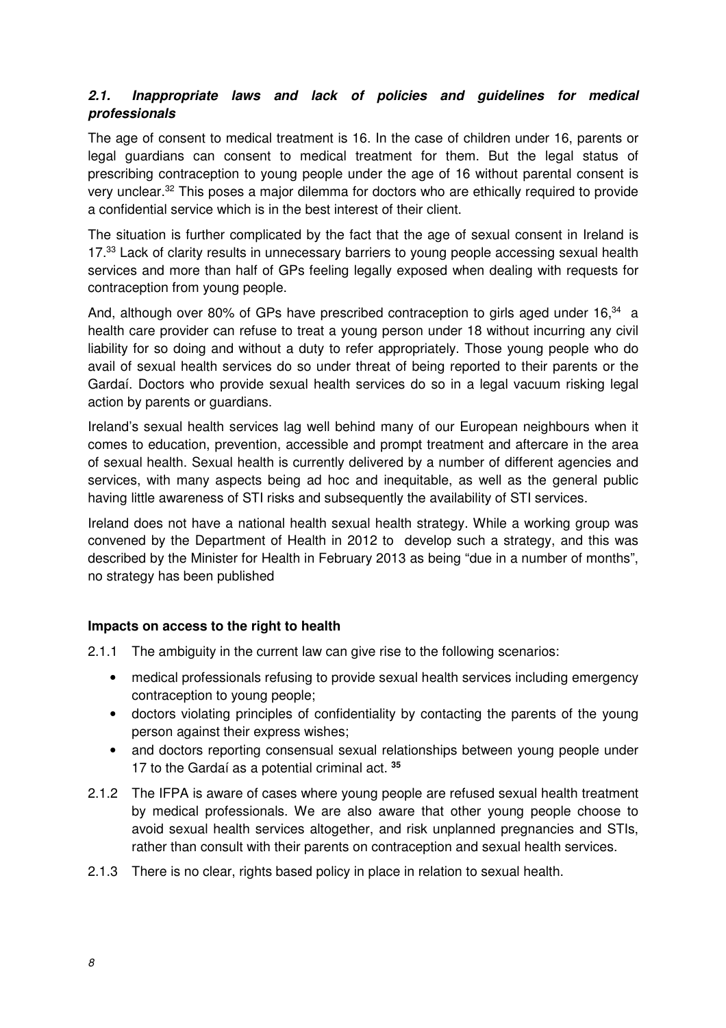# **2.1. Inappropriate laws and lack of policies and guidelines for medical professionals**

The age of consent to medical treatment is 16. In the case of children under 16, parents or legal guardians can consent to medical treatment for them. But the legal status of prescribing contraception to young people under the age of 16 without parental consent is very unclear.<sup>32</sup> This poses a major dilemma for doctors who are ethically required to provide a confidential service which is in the best interest of their client.

The situation is further complicated by the fact that the age of sexual consent in Ireland is 17.<sup>33</sup> Lack of clarity results in unnecessary barriers to young people accessing sexual health services and more than half of GPs feeling legally exposed when dealing with requests for contraception from young people.

And, although over 80% of GPs have prescribed contraception to girls aged under 16,<sup>34</sup> a health care provider can refuse to treat a young person under 18 without incurring any civil liability for so doing and without a duty to refer appropriately. Those young people who do avail of sexual health services do so under threat of being reported to their parents or the Gardaí. Doctors who provide sexual health services do so in a legal vacuum risking legal action by parents or guardians.

Ireland's sexual health services lag well behind many of our European neighbours when it comes to education, prevention, accessible and prompt treatment and aftercare in the area of sexual health. Sexual health is currently delivered by a number of different agencies and services, with many aspects being ad hoc and inequitable, as well as the general public having little awareness of STI risks and subsequently the availability of STI services.

Ireland does not have a national health sexual health strategy. While a working group was convened by the Department of Health in 2012 to develop such a strategy, and this was described by the Minister for Health in February 2013 as being "due in a number of months", no strategy has been published

## **Impacts on access to the right to health**

- 2.1.1 The ambiguity in the current law can give rise to the following scenarios:
	- medical professionals refusing to provide sexual health services including emergency contraception to young people;
	- doctors violating principles of confidentiality by contacting the parents of the young person against their express wishes;
	- and doctors reporting consensual sexual relationships between young people under 17 to the Gardaí as a potential criminal act. **<sup>35</sup>**
- 2.1.2 The IFPA is aware of cases where young people are refused sexual health treatment by medical professionals. We are also aware that other young people choose to avoid sexual health services altogether, and risk unplanned pregnancies and STIs, rather than consult with their parents on contraception and sexual health services.
- 2.1.3 There is no clear, rights based policy in place in relation to sexual health.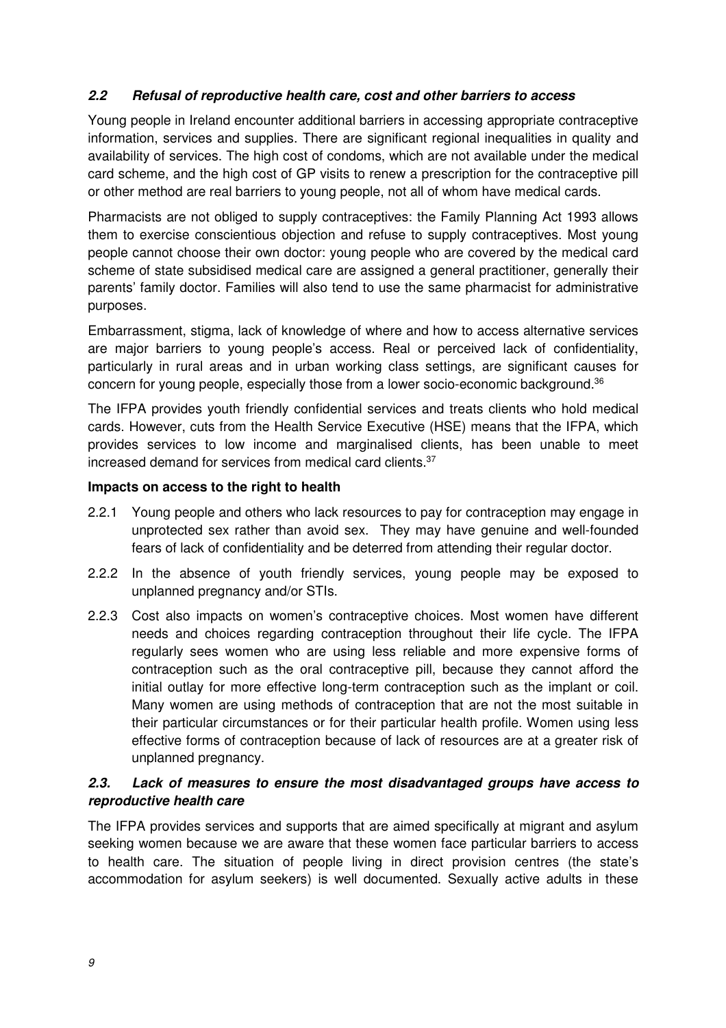## **2.2 Refusal of reproductive health care, cost and other barriers to access**

Young people in Ireland encounter additional barriers in accessing appropriate contraceptive information, services and supplies. There are significant regional inequalities in quality and availability of services. The high cost of condoms, which are not available under the medical card scheme, and the high cost of GP visits to renew a prescription for the contraceptive pill or other method are real barriers to young people, not all of whom have medical cards.

Pharmacists are not obliged to supply contraceptives: the Family Planning Act 1993 allows them to exercise conscientious objection and refuse to supply contraceptives. Most young people cannot choose their own doctor: young people who are covered by the medical card scheme of state subsidised medical care are assigned a general practitioner, generally their parents' family doctor. Families will also tend to use the same pharmacist for administrative purposes.

Embarrassment, stigma, lack of knowledge of where and how to access alternative services are major barriers to young people's access. Real or perceived lack of confidentiality, particularly in rural areas and in urban working class settings, are significant causes for concern for young people, especially those from a lower socio-economic background.<sup>36</sup>

The IFPA provides youth friendly confidential services and treats clients who hold medical cards. However, cuts from the Health Service Executive (HSE) means that the IFPA, which provides services to low income and marginalised clients, has been unable to meet increased demand for services from medical card clients.<sup>37</sup>

#### **Impacts on access to the right to health**

- 2.2.1 Young people and others who lack resources to pay for contraception may engage in unprotected sex rather than avoid sex. They may have genuine and well-founded fears of lack of confidentiality and be deterred from attending their regular doctor.
- 2.2.2 In the absence of youth friendly services, young people may be exposed to unplanned pregnancy and/or STIs.
- 2.2.3 Cost also impacts on women's contraceptive choices. Most women have different needs and choices regarding contraception throughout their life cycle. The IFPA regularly sees women who are using less reliable and more expensive forms of contraception such as the oral contraceptive pill, because they cannot afford the initial outlay for more effective long-term contraception such as the implant or coil. Many women are using methods of contraception that are not the most suitable in their particular circumstances or for their particular health profile. Women using less effective forms of contraception because of lack of resources are at a greater risk of unplanned pregnancy.

## **2.3. Lack of measures to ensure the most disadvantaged groups have access to reproductive health care**

The IFPA provides services and supports that are aimed specifically at migrant and asylum seeking women because we are aware that these women face particular barriers to access to health care. The situation of people living in direct provision centres (the state's accommodation for asylum seekers) is well documented. Sexually active adults in these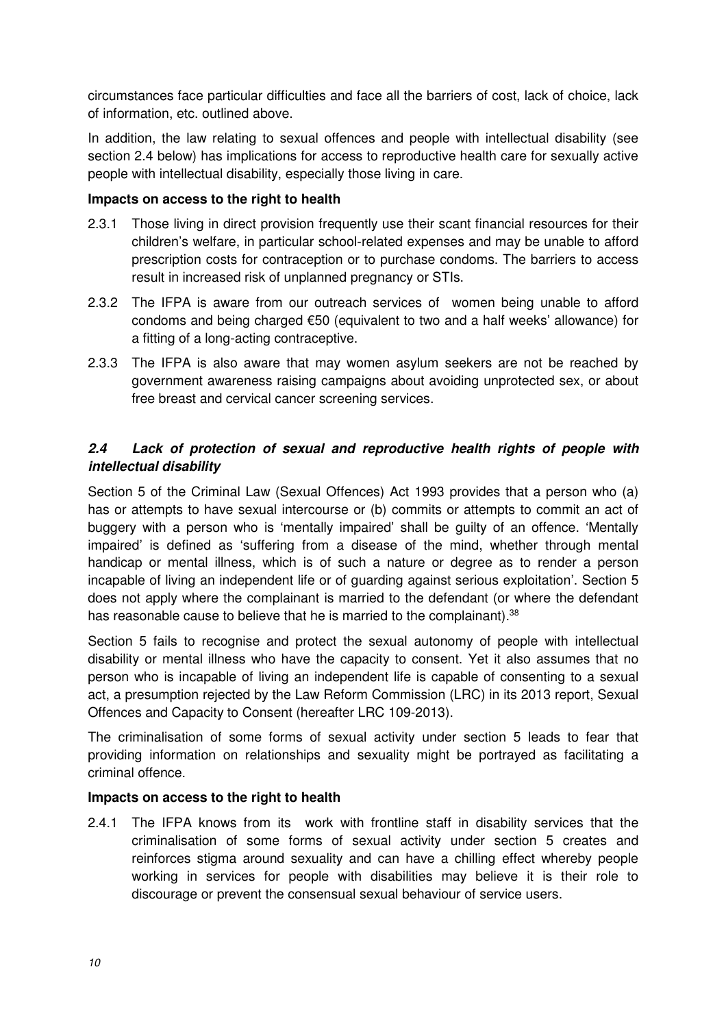circumstances face particular difficulties and face all the barriers of cost, lack of choice, lack of information, etc. outlined above.

In addition, the law relating to sexual offences and people with intellectual disability (see section 2.4 below) has implications for access to reproductive health care for sexually active people with intellectual disability, especially those living in care.

## **Impacts on access to the right to health**

- 2.3.1 Those living in direct provision frequently use their scant financial resources for their children's welfare, in particular school-related expenses and may be unable to afford prescription costs for contraception or to purchase condoms. The barriers to access result in increased risk of unplanned pregnancy or STIs.
- 2.3.2 The IFPA is aware from our outreach services of women being unable to afford condoms and being charged €50 (equivalent to two and a half weeks' allowance) for a fitting of a long-acting contraceptive.
- 2.3.3 The IFPA is also aware that may women asylum seekers are not be reached by government awareness raising campaigns about avoiding unprotected sex, or about free breast and cervical cancer screening services.

## **2.4 Lack of protection of sexual and reproductive health rights of people with intellectual disability**

Section 5 of the Criminal Law (Sexual Offences) Act 1993 provides that a person who (a) has or attempts to have sexual intercourse or (b) commits or attempts to commit an act of buggery with a person who is 'mentally impaired' shall be guilty of an offence. 'Mentally impaired' is defined as 'suffering from a disease of the mind, whether through mental handicap or mental illness, which is of such a nature or degree as to render a person incapable of living an independent life or of guarding against serious exploitation'. Section 5 does not apply where the complainant is married to the defendant (or where the defendant has reasonable cause to believe that he is married to the complainant).<sup>38</sup>

Section 5 fails to recognise and protect the sexual autonomy of people with intellectual disability or mental illness who have the capacity to consent. Yet it also assumes that no person who is incapable of living an independent life is capable of consenting to a sexual act, a presumption rejected by the Law Reform Commission (LRC) in its 2013 report, Sexual Offences and Capacity to Consent (hereafter LRC 109-2013).

The criminalisation of some forms of sexual activity under section 5 leads to fear that providing information on relationships and sexuality might be portrayed as facilitating a criminal offence.

## **Impacts on access to the right to health**

2.4.1 The IFPA knows from its work with frontline staff in disability services that the criminalisation of some forms of sexual activity under section 5 creates and reinforces stigma around sexuality and can have a chilling effect whereby people working in services for people with disabilities may believe it is their role to discourage or prevent the consensual sexual behaviour of service users.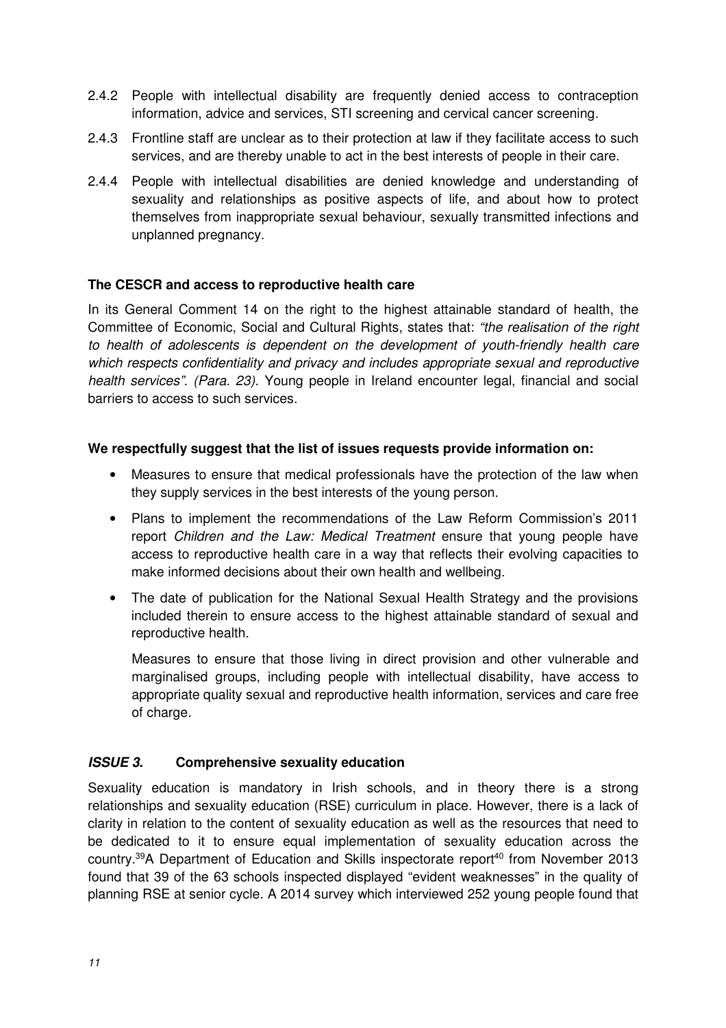- 2.4.2 People with intellectual disability are frequently denied access to contraception information, advice and services, STI screening and cervical cancer screening.
- 2.4.3 Frontline staff are unclear as to their protection at law if they facilitate access to such services, and are thereby unable to act in the best interests of people in their care.
- 2.4.4 People with intellectual disabilities are denied knowledge and understanding of sexuality and relationships as positive aspects of life, and about how to protect themselves from inappropriate sexual behaviour, sexually transmitted infections and unplanned pregnancy.

## **The CESCR and access to reproductive health care**

In its General Comment 14 on the right to the highest attainable standard of health, the Committee of Economic, Social and Cultural Rights, states that: "the realisation of the right to health of adolescents is dependent on the development of youth-friendly health care which respects confidentiality and privacy and includes appropriate sexual and reproductive health services". (Para. 23). Young people in Ireland encounter legal, financial and social barriers to access to such services.

## **We respectfully suggest that the list of issues requests provide information on:**

- Measures to ensure that medical professionals have the protection of the law when they supply services in the best interests of the young person.
- Plans to implement the recommendations of the Law Reform Commission's 2011 report Children and the Law: Medical Treatment ensure that young people have access to reproductive health care in a way that reflects their evolving capacities to make informed decisions about their own health and wellbeing.
- The date of publication for the National Sexual Health Strategy and the provisions included therein to ensure access to the highest attainable standard of sexual and reproductive health.

• Measures to ensure that those living in direct provision and other vulnerable and marginalised groups, including people with intellectual disability, have access to appropriate quality sexual and reproductive health information, services and care free of charge.

## **ISSUE 3. Comprehensive sexuality education**

Sexuality education is mandatory in Irish schools, and in theory there is a strong relationships and sexuality education (RSE) curriculum in place. However, there is a lack of clarity in relation to the content of sexuality education as well as the resources that need to be dedicated to it to ensure equal implementation of sexuality education across the country.<sup>39</sup>A Department of Education and Skills inspectorate report<sup>40</sup> from November 2013 found that 39 of the 63 schools inspected displayed "evident weaknesses" in the quality of planning RSE at senior cycle. A 2014 survey which interviewed 252 young people found that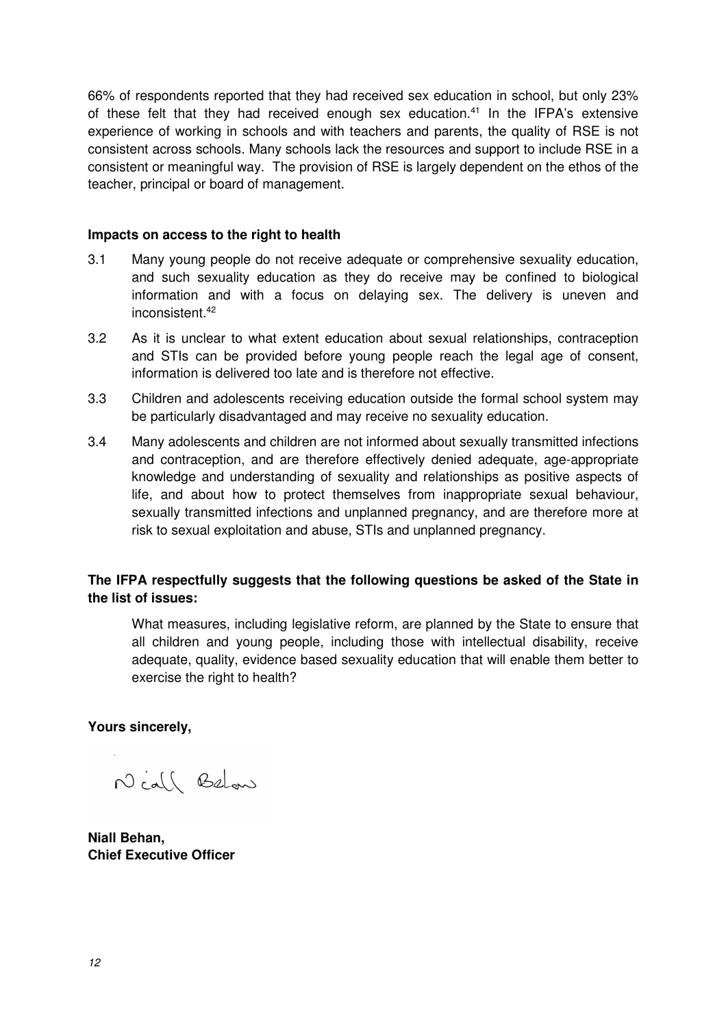66% of respondents reported that they had received sex education in school, but only 23% of these felt that they had received enough sex education.<sup>41</sup> In the IFPA's extensive experience of working in schools and with teachers and parents, the quality of RSE is not consistent across schools. Many schools lack the resources and support to include RSE in a consistent or meaningful way. The provision of RSE is largely dependent on the ethos of the teacher, principal or board of management.

#### **Impacts on access to the right to health**

- 3.1 Many young people do not receive adequate or comprehensive sexuality education, and such sexuality education as they do receive may be confined to biological information and with a focus on delaying sex. The delivery is uneven and inconsistent.<sup>42</sup>
- 3.2 As it is unclear to what extent education about sexual relationships, contraception and STIs can be provided before young people reach the legal age of consent, information is delivered too late and is therefore not effective.
- 3.3 Children and adolescents receiving education outside the formal school system may be particularly disadvantaged and may receive no sexuality education.
- 3.4 Many adolescents and children are not informed about sexually transmitted infections and contraception, and are therefore effectively denied adequate, age-appropriate knowledge and understanding of sexuality and relationships as positive aspects of life, and about how to protect themselves from inappropriate sexual behaviour, sexually transmitted infections and unplanned pregnancy, and are therefore more at risk to sexual exploitation and abuse, STIs and unplanned pregnancy.

## **The IFPA respectfully suggests that the following questions be asked of the State in the list of issues:**

• What measures, including legislative reform, are planned by the State to ensure that all children and young people, including those with intellectual disability, receive adequate, quality, evidence based sexuality education that will enable them better to exercise the right to health?

**Yours sincerely,** 

Niall Below

**Niall Behan, Chief Executive Officer**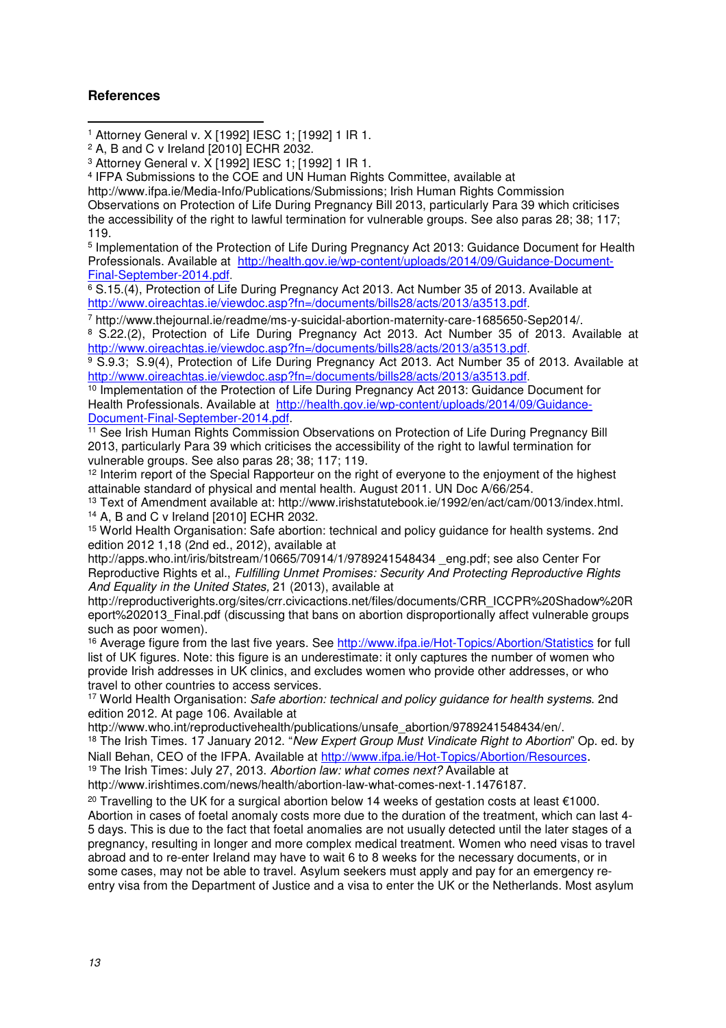#### **References**

 $\overline{a}$ 1 Attorney General v. X [1992] IESC 1; [1992] 1 IR 1.

3 Attorney General v. X [1992] IESC 1; [1992] 1 IR 1.

4 IFPA Submissions to the COE and UN Human Rights Committee, available at

http://www.ifpa.ie/Media-Info/Publications/Submissions; Irish Human Rights Commission Observations on Protection of Life During Pregnancy Bill 2013, particularly Para 39 which criticises the accessibility of the right to lawful termination for vulnerable groups. See also paras 28; 38; 117; 119.

<sup>5</sup> Implementation of the Protection of Life During Pregnancy Act 2013: Guidance Document for Health Professionals. Available at http://health.gov.ie/wp-content/uploads/2014/09/Guidance-Document-Final-September-2014.pdf.

6 S.15.(4), Protection of Life During Pregnancy Act 2013. Act Number 35 of 2013. Available at http://www.oireachtas.ie/viewdoc.asp?fn=/documents/bills28/acts/2013/a3513.pdf.

7 http://www.thejournal.ie/readme/ms-y-suicidal-abortion-maternity-care-1685650-Sep2014/. 8 S.22.(2), Protection of Life During Pregnancy Act 2013. Act Number 35 of 2013. Available at

http://www.oireachtas.ie/viewdoc.asp?fn=/documents/bills28/acts/2013/a3513.pdf. 9 S.9.3; S.9(4), Protection of Life During Pregnancy Act 2013. Act Number 35 of 2013. Available at http://www.oireachtas.ie/viewdoc.asp?fn=/documents/bills28/acts/2013/a3513.pdf.

<sup>10</sup> Implementation of the Protection of Life During Pregnancy Act 2013: Guidance Document for Health Professionals. Available at http://health.gov.ie/wp-content/uploads/2014/09/Guidance-Document-Final-September-2014.pdf.

<sup>11</sup> See Irish Human Rights Commission Observations on Protection of Life During Pregnancy Bill 2013, particularly Para 39 which criticises the accessibility of the right to lawful termination for vulnerable groups. See also paras 28; 38; 117; 119.

<sup>12</sup> Interim report of the Special Rapporteur on the right of everyone to the enjoyment of the highest attainable standard of physical and mental health. August 2011. UN Doc A/66/254.

<sup>13</sup> Text of Amendment available at: http://www.irishstatutebook.ie/1992/en/act/cam/0013/index.html. <sup>14</sup> A, B and C v Ireland [2010] ECHR 2032.

<sup>15</sup> World Health Organisation: Safe abortion: technical and policy guidance for health systems. 2nd edition 2012 1,18 (2nd ed., 2012), available at

http://apps.who.int/iris/bitstream/10665/70914/1/9789241548434 eng.pdf; see also Center For Reproductive Rights et al., Fulfilling Unmet Promises: Security And Protecting Reproductive Rights And Equality in the United States, 21 (2013), available at

http://reproductiverights.org/sites/crr.civicactions.net/files/documents/CRR\_ICCPR%20Shadow%20R eport%202013 Final.pdf (discussing that bans on abortion disproportionally affect vulnerable groups such as poor women).

<sup>16</sup> Average figure from the last five years. See http://www.ifpa.ie/Hot-Topics/Abortion/Statistics for full list of UK figures. Note: this figure is an underestimate: it only captures the number of women who provide Irish addresses in UK clinics, and excludes women who provide other addresses, or who travel to other countries to access services.

<sup>17</sup> World Health Organisation: Safe abortion: technical and policy quidance for health systems. 2nd edition 2012. At page 106. Available at

http://www.who.int/reproductivehealth/publications/unsafe\_abortion/9789241548434/en/.

<sup>18</sup> The Irish Times. 17 January 2012. "New Expert Group Must Vindicate Right to Abortion" Op. ed. by Niall Behan, CEO of the IFPA. Available at http://www.ifpa.ie/Hot-Topics/Abortion/Resources.

<sup>19</sup> The Irish Times: July 27, 2013. Abortion law: what comes next? Available at

http://www.irishtimes.com/news/health/abortion-law-what-comes-next-1.1476187.

<sup>20</sup> Travelling to the UK for a surgical abortion below 14 weeks of gestation costs at least  $€1000$ . Abortion in cases of foetal anomaly costs more due to the duration of the treatment, which can last 4- 5 days. This is due to the fact that foetal anomalies are not usually detected until the later stages of a pregnancy, resulting in longer and more complex medical treatment. Women who need visas to travel abroad and to re-enter Ireland may have to wait 6 to 8 weeks for the necessary documents, or in some cases, may not be able to travel. Asylum seekers must apply and pay for an emergency reentry visa from the Department of Justice and a visa to enter the UK or the Netherlands. Most asylum

<sup>2</sup> A, B and C v Ireland [2010] ECHR 2032.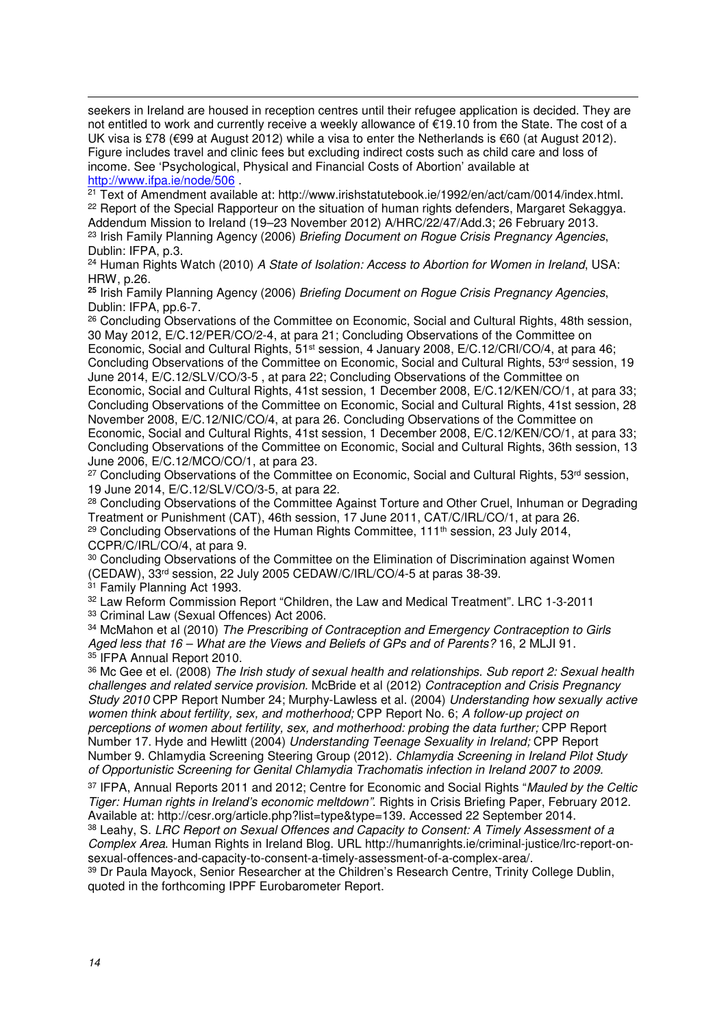$\overline{a}$ seekers in Ireland are housed in reception centres until their refugee application is decided. They are not entitled to work and currently receive a weekly allowance of €19.10 from the State. The cost of a UK visa is £78 (€99 at August 2012) while a visa to enter the Netherlands is €60 (at August 2012). Figure includes travel and clinic fees but excluding indirect costs such as child care and loss of income. See 'Psychological, Physical and Financial Costs of Abortion' available at http://www.ifpa.ie/node/506 .

<sup>21</sup> Text of Amendment available at: http://www.irishstatutebook.ie/1992/en/act/cam/0014/index.html. <sup>22</sup> Report of the Special Rapporteur on the situation of human rights defenders, Margaret Sekaggya. Addendum Mission to Ireland (19–23 November 2012) A/HRC/22/47/Add.3; 26 February 2013. <sup>23</sup> Irish Family Planning Agency (2006) Briefing Document on Roque Crisis Pregnancy Agencies, Dublin: IFPA, p.3.

<sup>24</sup> Human Rights Watch (2010) A State of Isolation: Access to Abortion for Women in Ireland, USA: HRW, p.26.

**<sup>25</sup>** Irish Family Planning Agency (2006) Briefing Document on Rogue Crisis Pregnancy Agencies, Dublin: IFPA, pp.6-7.

<sup>26</sup> Concluding Observations of the Committee on Economic, Social and Cultural Rights, 48th session, 30 May 2012, E/C.12/PER/CO/2-4, at para 21; Concluding Observations of the Committee on Economic, Social and Cultural Rights, 51<sup>st</sup> session, 4 January 2008, E/C.12/CRI/CO/4, at para 46; Concluding Observations of the Committee on Economic, Social and Cultural Rights, 53rd session, 19 June 2014, E/C.12/SLV/CO/3-5 , at para 22; Concluding Observations of the Committee on Economic, Social and Cultural Rights, 41st session, 1 December 2008, E/C.12/KEN/CO/1, at para 33; Concluding Observations of the Committee on Economic, Social and Cultural Rights, 41st session, 28 November 2008, E/C.12/NIC/CO/4, at para 26. Concluding Observations of the Committee on Economic, Social and Cultural Rights, 41st session, 1 December 2008, E/C.12/KEN/CO/1, at para 33; Concluding Observations of the Committee on Economic, Social and Cultural Rights, 36th session, 13 June 2006, E/C.12/MCO/CO/1, at para 23.

<sup>27</sup> Concluding Observations of the Committee on Economic, Social and Cultural Rights, 53<sup>rd</sup> session, 19 June 2014, E/C.12/SLV/CO/3-5, at para 22.

<sup>28</sup> Concluding Observations of the Committee Against Torture and Other Cruel, Inhuman or Degrading Treatment or Punishment (CAT), 46th session, 17 June 2011, CAT/C/IRL/CO/1, at para 26. <sup>29</sup> Concluding Observations of the Human Rights Committee,  $111<sup>th</sup>$  session, 23 July 2014, CCPR/C/IRL/CO/4, at para 9.

<sup>30</sup> Concluding Observations of the Committee on the Elimination of Discrimination against Women (CEDAW), 33rd session, 22 July 2005 CEDAW/C/IRL/CO/4-5 at paras 38-39.

<sup>31</sup> Family Planning Act 1993.

<sup>32</sup> Law Reform Commission Report "Children, the Law and Medical Treatment". LRC 1-3-2011 <sup>33</sup> Criminal Law (Sexual Offences) Act 2006.

<sup>34</sup> McMahon et al (2010) The Prescribing of Contraception and Emergency Contraception to Girls Aged less that 16 – What are the Views and Beliefs of GPs and of Parents? 16, 2 MLJI 91. <sup>35</sup> IFPA Annual Report 2010.

<sup>36</sup> Mc Gee et el. (2008) The Irish study of sexual health and relationships. Sub report 2: Sexual health challenges and related service provision. McBride et al (2012) Contraception and Crisis Pregnancy Study 2010 CPP Report Number 24; Murphy-Lawless et al. (2004) Understanding how sexually active women think about fertility, sex, and motherhood; CPP Report No. 6; A follow-up project on perceptions of women about fertility, sex, and motherhood: probing the data further; CPP Report Number 17. Hyde and Hewlitt (2004) Understanding Teenage Sexuality in Ireland; CPP Report Number 9. Chlamydia Screening Steering Group (2012). Chlamydia Screening in Ireland Pilot Study of Opportunistic Screening for Genital Chlamydia Trachomatis infection in Ireland 2007 to 2009.

<sup>37</sup> IFPA, Annual Reports 2011 and 2012; Centre for Economic and Social Rights "Mauled by the Celtic Tiger: Human rights in Ireland's economic meltdown". Rights in Crisis Briefing Paper, February 2012. Available at: http://cesr.org/article.php?list=type&type=139. Accessed 22 September 2014.

38 Leahy, S. LRC Report on Sexual Offences and Capacity to Consent: A Timely Assessment of a Complex Area. Human Rights in Ireland Blog. URL http://humanrights.ie/criminal-justice/lrc-report-onsexual-offences-and-capacity-to-consent-a-timely-assessment-of-a-complex-area/.

<sup>39</sup> Dr Paula Mayock, Senior Researcher at the Children's Research Centre, Trinity College Dublin, quoted in the forthcoming IPPF Eurobarometer Report.